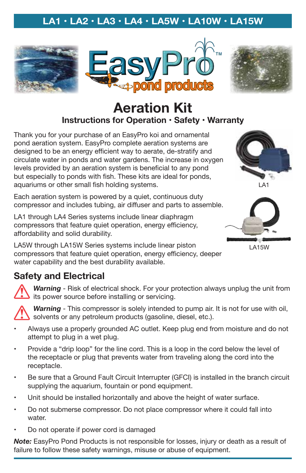# **LA1 • LA2 • LA3 • LA4 • LA5W • LA10W • LA15W**







# **Aeration Kit Instructions for Operation • Safety • Warranty**

Thank you for your purchase of an EasyPro koi and ornamental pond aeration system. EasyPro complete aeration systems are designed to be an energy efficient way to aerate, de-stratify and circulate water in ponds and water gardens. The increase in oxygen levels provided by an aeration system is beneficial to any pond but especially to ponds with fish. These kits are ideal for ponds, aquariums or other small fish holding systems.

Each aeration system is powered by a quiet, continuous duty compressor and includes tubing, air diffuser and parts to assemble.

LA1 through LA4 Series systems include linear diaphragm compressors that feature quiet operation, energy efficiency, affordability and solid durability.

LA5W through LA15W Series systems include linear piston compressors that feature quiet operation, energy efficiency, deeper water capability and the best durability available.







LA15W

#### **Safety and Electrical**

*Warning* - Risk of electrical shock. For your protection always unplug the unit from its power source before installing or servicing.

*Warning* - This compressor is solely intended to pump air. It is not for use with oil, solvents or any petroleum products (gasoline, diesel, etc.).

- Always use a properly grounded AC outlet. Keep plug end from moisture and do not attempt to plug in a wet plug.
- Provide a "drip loop" for the line cord. This is a loop in the cord below the level of the receptacle or plug that prevents water from traveling along the cord into the receptacle.
- Be sure that a Ground Fault Circuit Interrupter (GFCI) is installed in the branch circuit supplying the aquarium, fountain or pond equipment.
- Unit should be installed horizontally and above the height of water surface.
- • Do not submerse compressor. Do not place compressor where it could fall into water.
- Do not operate if power cord is damaged

*Note:* EasyPro Pond Products is not responsible for losses, injury or death as a result of failure to follow these safety warnings, misuse or abuse of equipment.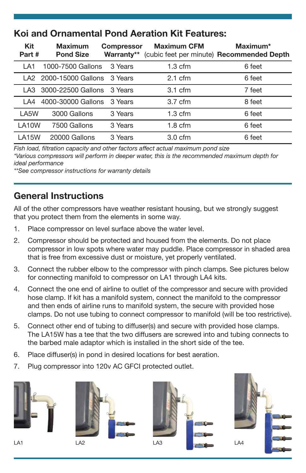# **Koi and Ornamental Pond Aeration Kit Features:**

| <b>Kit</b><br>Part # | <b>Maximum</b><br><b>Pond Size</b> | <b>Compressor</b><br>Warranty** | <b>Maximum CFM</b> | Maximum*<br>(cubic feet per minute) Recommended Depth |
|----------------------|------------------------------------|---------------------------------|--------------------|-------------------------------------------------------|
| LA <sub>1</sub>      | 1000-7500 Gallons                  | 3 Years                         | $1.3 \text{ cfm}$  | 6 feet                                                |
|                      | LA2 2000-15000 Gallons 3 Years     |                                 | $2.1 \text{ cfm}$  | 6 feet                                                |
| I A3                 | 3000-22500 Gallons                 | 3 Years                         | $3.1 \text{ cfm}$  | 7 feet                                                |
| 1 A4                 | 4000-30000 Gallons                 | 3 Years                         | $3.7 \text{ cfm}$  | 8 feet                                                |
| LA5W                 | 3000 Gallons                       | 3 Years                         | $1.3 \text{ cfm}$  | 6 feet                                                |
| LA10W                | 7500 Gallons                       | 3 Years                         | $1.8 \text{ cfm}$  | 6 feet                                                |
| <b>LA15W</b>         | 20000 Gallons                      | 3 Years                         | $3.0 \text{ cfm}$  | 6 feet                                                |

*Fish load, filtration capacity and other factors affect actual maximum pond size*

*\*Various compressors will perform in deeper water, this is the recommended maximum depth for ideal performance*

*\*\*See compressor instructions for warranty details*

#### **General Instructions**

All of the other compressors have weather resistant housing, but we strongly suggest that you protect them from the elements in some way.

- 1. Place compressor on level surface above the water level.
- 2. Compressor should be protected and housed from the elements. Do not place compressor in low spots where water may puddle. Place compressor in shaded area that is free from excessive dust or moisture, yet properly ventilated.
- 3. Connect the rubber elbow to the compressor with pinch clamps. See pictures below for connecting manifold to compressor on LA1 through LA4 kits.
- 4. Connect the one end of airline to outlet of the compressor and secure with provided hose clamp. If kit has a manifold system, connect the manifold to the compressor and then ends of airline runs to manifold system, the secure with provided hose clamps. Do not use tubing to connect compressor to manifold (will be too restrictive).
- 5. Connect other end of tubing to diffuser(s) and secure with provided hose clamps. The LA15W has a tee that the two diffusers are screwed into and tubing connects to the barbed male adaptor which is installed in the short side of the tee.
- 6. Place diffuser(s) in pond in desired locations for best aeration.
- 7. Plug compressor into 120v AC GFCI protected outlet.







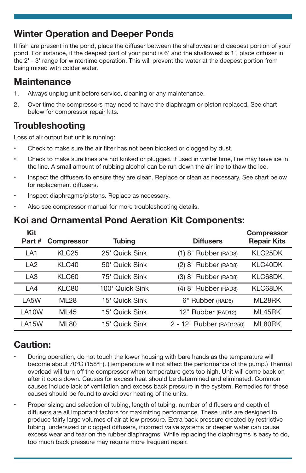### **Winter Operation and Deeper Ponds**

If fish are present in the pond, place the diffuser between the shallowest and deepest portion of your pond. For instance, if the deepest part of your pond is 6' and the shallowest is 1', place diffuser in the 2' - 3' range for wintertime operation. This will prevent the water at the deepest portion from being mixed with colder water.

#### **Maintenance**

- 1. Always unplug unit before service, cleaning or any maintenance.
- 2. Over time the compressors may need to have the diaphragm or piston replaced. See chart below for compressor repair kits.

# **Troubleshooting**

Loss of air output but unit is running:

- Check to make sure the air filter has not been blocked or clogged by dust.
- • Check to make sure lines are not kinked or plugged. If used in winter time, line may have ice in the line. A small amount of rubbing alcohol can be run down the air line to thaw the ice.
- Inspect the diffusers to ensure they are clean. Replace or clean as necessary. See chart below for replacement diffusers.
- Inspect diaphragms/pistons. Replace as necessary.
- •Also see compressor manual for more troubleshooting details.

# **Koi and Ornamental Pond Aeration Kit Components:**

| Kit<br>Part#    | <b>Compressor</b> | <b>Tubing</b>   | <b>Diffusers</b>         | <b>Compressor</b><br><b>Repair Kits</b> |
|-----------------|-------------------|-----------------|--------------------------|-----------------------------------------|
| LA <sub>1</sub> | KLC <sub>25</sub> | 25' Quick Sink  | $(1)$ 8" Rubber (RAD8)   | KLC <sub>25</sub> DK                    |
| LA <sub>2</sub> | KLC40             | 50' Quick Sink  | $(2)$ 8" Rubber (RAD8)   | KLC40DK                                 |
| LA <sub>3</sub> | KLC60             | 75' Quick Sink  | (3) 8" Rubber (RAD8)     | KLC68DK                                 |
| LA4             | KLC80             | 100' Quick Sink | $(4)$ 8" Rubber (RAD8)   | KLC68DK                                 |
| LA5W            | <b>ML28</b>       | 15' Quick Sink  | 6" Rubber (RAD6)         | ML28RK                                  |
| LA10W           | <b>ML45</b>       | 15' Quick Sink  | 12" Rubber (RAD12)       | ML45RK                                  |
| <b>LA15W</b>    | <b>ML80</b>       | 15' Quick Sink  | 2 - 12" Rubber (RAD1250) | ML80RK                                  |

# **Caution:**

- • During operation, do not touch the lower housing with bare hands as the temperature will become about 70ºC (158ºF). (Temperature will not affect the performance of the pump.) Thermal overload will turn off the compressor when temperature gets too high. Unit will come back on after it cools down. Causes for excess heat should be determined and eliminated. Common causes include lack of ventilation and excess back pressure in the system. Remedies for these causes should be found to avoid over heating of the units.
- Proper sizing and selection of tubing, length of tubing, number of diffusers and depth of diffusers are all important factors for maximizing performance. These units are designed to produce fairly large volumes of air at low pressure. Extra back pressure created by restrictive tubing, undersized or clogged diffusers, incorrect valve systems or deeper water can cause excess wear and tear on the rubber diaphragms. While replacing the diaphragms is easy to do, too much back pressure may require more frequent repair.